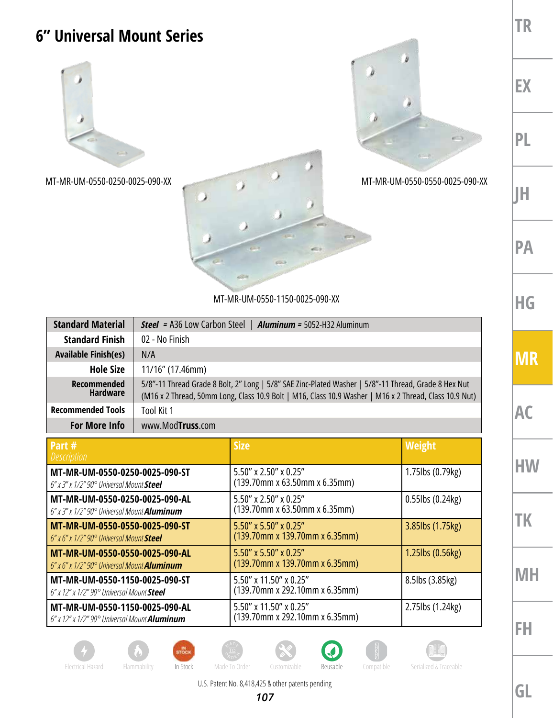## **TR 6" Universal Mount Series** b **EX PL**  $-100$ MT-MR-UM-0550-0250-0025-090-XX MT-MR-UM-0550-0550-0025-090-XX **JH PA**

MT-MR-UM-0550-1150-0025-090-XX

| <b>Standard Material</b>              | <b>Steel = A36 Low Carbon Steel   Aluminum = 5052-H32 Aluminum</b>                                                                                                                                             |  |
|---------------------------------------|----------------------------------------------------------------------------------------------------------------------------------------------------------------------------------------------------------------|--|
| <b>Standard Finish</b>                | 02 - No Finish                                                                                                                                                                                                 |  |
| <b>Available Finish(es)</b>           | N/A                                                                                                                                                                                                            |  |
| <b>Hole Size</b>                      | 11/16" (17.46mm)                                                                                                                                                                                               |  |
| <b>Recommended</b><br><b>Hardware</b> | 5/8"-11 Thread Grade 8 Bolt, 2" Long   5/8" SAE Zinc-Plated Washer   5/8"-11 Thread, Grade 8 Hex Nut<br>(M16 x 2 Thread, 50mm Long, Class 10.9 Bolt   M16, Class 10.9 Washer   M16 x 2 Thread, Class 10.9 Nut) |  |
| <b>Recommended Tools</b>              | Tool Kit 1                                                                                                                                                                                                     |  |
| <b>For More Info</b>                  | www.ModTruss.com                                                                                                                                                                                               |  |

| Part $#$<br><i>Description</i>                                                                    | <b>Size</b>                                                   | Weight                 |
|---------------------------------------------------------------------------------------------------|---------------------------------------------------------------|------------------------|
| MT-MR-UM-0550-0250-0025-090-ST<br>$6''$ x $3''$ x $1/2''$ 90 $^{\circ}$ Universal Mount Steel     | $5.50''$ x 2.50" x 0.25"<br>$(139.70$ mm x 63.50mm x 6.35mm)  | 1.75lbs (0.79kg)       |
| MT-MR-UM-0550-0250-0025-090-AL<br>$6''$ x 3" x 1/2" $90^{\circ}$ Universal Mount <b>Aluminum</b>  | $5.50''$ x 2.50" x 0.25"<br>(139.70mm x 63.50mm x 6.35mm)     | $0.55$ lbs $(0.24$ kg) |
| MT-MR-UM-0550-0550-0025-090-ST<br>$6''$ x $6''$ x $1/2''$ $90^{\circ}$ Universal Mount Steel      | $5.50''$ x 5.50" x 0.25"<br>$(139.70$ mm x 139.70mm x 6.35mm) | 3.85lbs (1.75kg)       |
| MT-MR-UM-0550-0550-0025-090-AL<br>$6''$ x 6" x 1/2" $90^{\circ}$ Universal Mount <b>Aluminum</b>  | $5.50''$ x 5.50" x 0.25"<br>$(139.70$ mm x 139.70mm x 6.35mm) | 1.25lbs (0.56kg)       |
| MT-MR-UM-0550-1150-0025-090-ST<br>6" x 12" x 1/2" 90° Universal Mount Steel                       | 5.50" x 11.50" x 0.25"<br>(139.70mm x 292.10mm x 6.35mm)      | 8.5lbs (3.85kg)        |
| MT-MR-UM-0550-1150-0025-090-AL<br>$6''$ x 12" x 1/2" $90^{\circ}$ Universal Mount <b>Aluminum</b> | $5.50''$ x 11.50" x 0.25"<br>(139.70mm x 292.10mm x 6.35mm)   | 2.75lbs (1.24kg)       |

**MH**

**HG**

**MR**

**AC**

**HW**

**TK**

**FH**















U.S. Patent No. 8,418,425 & other patents pending

**GL**